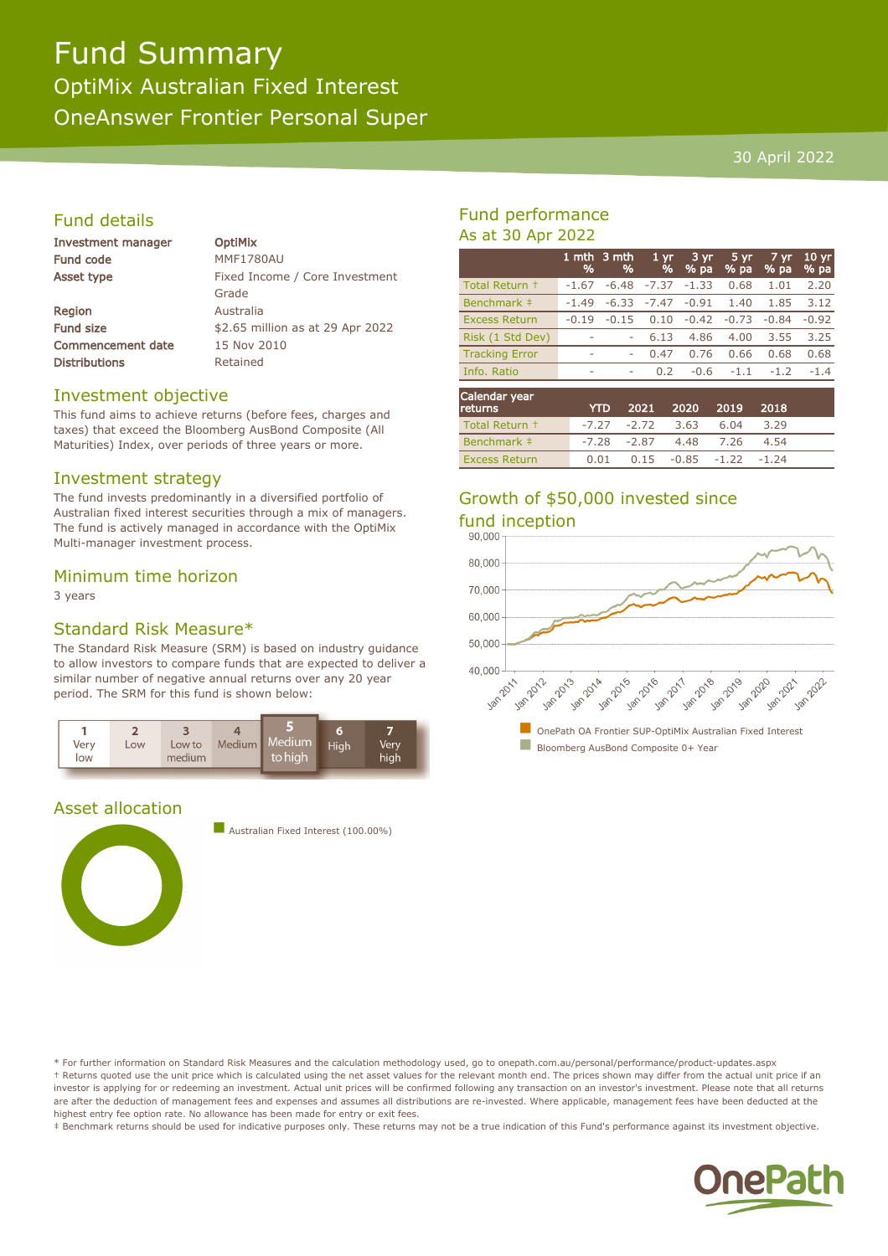# Fund Summary OptiMix Australian Fixed Interest OneAnswer Frontier Personal Super

# 30 April 2022

# Fund details

| Investment manager       | <b>OptiMix</b>                   |
|--------------------------|----------------------------------|
| Fund code                | <b>MMF1780AU</b>                 |
| Asset type               | Fixed Income / Core Investment   |
|                          | Grade                            |
| Region                   | Australia                        |
| <b>Fund size</b>         | \$2.65 million as at 29 Apr 2022 |
| <b>Commencement date</b> | 15 Nov 2010                      |
| <b>Distributions</b>     | Retained                         |
|                          |                                  |

### Investment objective

This fund aims to achieve returns (before fees, charges and taxes) that exceed the Bloomberg AusBond Composite (All Maturities) Index, over periods of three years or more.

#### Investment strategy

The fund invests predominantly in a diversified portfolio of Australian fixed interest securities through a mix of managers. The fund is actively managed in accordance with the OptiMix Multi-manager investment process.

#### Minimum time horizon

3 years

#### Standard Risk Measure\*

The Standard Risk Measure (SRM) is based on industry guidance to allow investors to compare funds that are expected to deliver a similar number of negative annual returns over any 20 year period. The SRM for this fund is shown below:



# Asset allocation



**n** Australian Fixed Interest (100.00%)

# Fund performance As at 30 Apr 2022

|                                             | %       | 1 mth 3 mth<br>% | 1 <sub>yr</sub><br>% | 3 yr<br>% pa | 5 yr<br>% pa                              | 7 yr<br>% pa               | 10 <sub>yr</sub><br>% pa |
|---------------------------------------------|---------|------------------|----------------------|--------------|-------------------------------------------|----------------------------|--------------------------|
| Total Return +                              | $-1.67$ | $-6.48$          | $-7.37$              | $-1.33$      | 0.68                                      | 1.01                       | 2.20                     |
| Benchmark #                                 | $-1.49$ | $-6.33$          | $-7.47$              | $-0.91$      | 1.40                                      | 1.85                       | 3.12                     |
| <b>Excess Return</b>                        | $-0.19$ | $-0.15$          | 0.10                 | $-0.42$      | $-0.73$                                   | $-0.84$                    | $-0.92$                  |
| Risk (1 Std Dev)                            | ۰       | ۰                | 6.13                 | 4.86         | 4.00                                      | 3.55                       | 3.25                     |
| <b>Tracking Error</b>                       | ۰       | ۰                | 0.47                 | 0.76         | 0.66                                      | 0.68                       | 0.68                     |
| Info. Ratio                                 | ٠       | $\overline{a}$   | 0.2                  | $-0.6$       | $-1.1$                                    | $-1.2$                     | $-1.4$                   |
| Calendar year<br>and the first property and |         | $\sim$           | <b>BAB4</b>          | <b>BABA</b>  | $\sum_{n=1}^{n} a_n = \sum_{n=1}^{n} a_n$ | $\sum_{n=1}^{n} a_n = a_n$ |                          |

| <b>returns</b>       | <b>YTD</b> |                                       | 2021 2020 2019 | - 2018 |  |
|----------------------|------------|---------------------------------------|----------------|--------|--|
| Total Return +       |            | $-7.27$ $-2.72$ $3.63$ 6.04           |                | 3.29   |  |
| Benchmark ‡          |            | -7.28 -2.87 4.48 7.26 4.54            |                |        |  |
| <b>Excess Return</b> |            | $0.01$ $0.15$ $-0.85$ $-1.22$ $-1.24$ |                |        |  |

# Growth of \$50,000 invested since fund inception



\* For further information on Standard Risk Measures and the calculation methodology used, go to onepath.com.au/personal/performance/product-updates.aspx † Returns quoted use the unit price which is calculated using the net asset values for the relevant month end. The prices shown may differ from the actual unit price if an investor is applying for or redeeming an investment. Actual unit prices will be confirmed following any transaction on an investor's investment. Please note that all returns are after the deduction of management fees and expenses and assumes all distributions are re-invested. Where applicable, management fees have been deducted at the highest entry fee option rate. No allowance has been made for entry or exit fees.

‡ Benchmark returns should be used for indicative purposes only. These returns may not be a true indication of this Fund's performance against its investment objective.